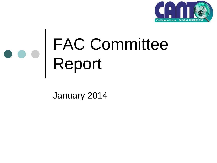

#### FAC Committee Report

January 2014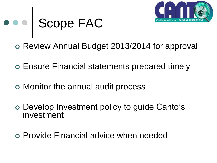

# Scope FAC

- o Review Annual Budget 2013/2014 for approval
- Ensure Financial statements prepared timely
- Monitor the annual audit process
- Develop Investment policy to guide Canto's investment
- Provide Financial advice when needed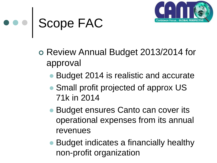

#### Scope FAC

- o Review Annual Budget 2013/2014 for approval
	- Budget 2014 is realistic and accurate
	- Small profit projected of approx US 71k in 2014
	- Budget ensures Canto can cover its operational expenses from its annual revenues
	- Budget indicates a financially healthy non-profit organization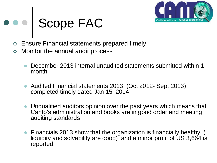

## Scope FAC

- Ensure Financial statements prepared timely
- Monitor the annual audit process
	- December 2013 internal unaudited statements submitted within 1 month
	- Audited Financial statements 2013 (Oct 2012- Sept 2013) completed timely dated Jan 15, 2014
	- Unqualified auditors opinion over the past years which means that Canto's administration and books are in good order and meeting auditing standards
	- Financials 2013 show that the organization is financially healthy ( liquidity and solvability are good) and a minor profit of US 3,664 is reported.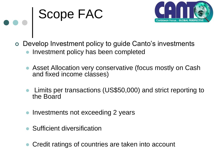## **BOOD FACTES**



- Develop Investment policy to guide Canto's investments
	- Investment policy has been completed
	- Asset Allocation very conservative (focus mostly on Cash and fixed income classes)
	- Limits per transactions (US\$50,000) and strict reporting to the Board
	- Investments not exceeding 2 years
	- Sufficient diversification
	- Credit ratings of countries are taken into account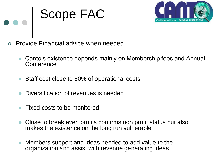#### e e | Scope FAC



- Provide Financial advice when needed
	- Canto's existence depends mainly on Membership fees and Annual **Conference**
	- Staff cost close to 50% of operational costs
	- Diversification of revenues is needed
	- Fixed costs to be monitored
	- Close to break even profits confirms non profit status but also makes the existence on the long run vulnerable
	- Members support and ideas needed to add value to the organization and assist with revenue generating ideas